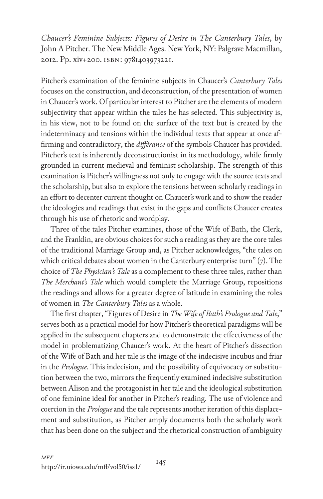*Chaucer's Feminine Subjects: Figures of Desire in The Canterbury Tales*, by John A Pitcher*.* The New Middle Ages. New York, NY: Palgrave Macmillan, 2012. Pp. xiv+200. isbn: 9781403973221.

Pitcher's examination of the feminine subjects in Chaucer's *Canterbury Tales* focuses on the construction, and deconstruction, of the presentation of women in Chaucer's work. Of particular interest to Pitcher are the elements of modern subjectivity that appear within the tales he has selected. This subjectivity is, in his view, not to be found on the surface of the text but is created by the indeterminacy and tensions within the individual texts that appear at once affirming and contradictory, the *différance* of the symbols Chaucer has provided. Pitcher's text is inherently deconstructionist in its methodology, while firmly grounded in current medieval and feminist scholarship. The strength of this examination is Pitcher's willingness not only to engage with the source texts and the scholarship, but also to explore the tensions between scholarly readings in an effort to decenter current thought on Chaucer's work and to show the reader the ideologies and readings that exist in the gaps and conflicts Chaucer creates through his use of rhetoric and wordplay.

Three of the tales Pitcher examines, those of the Wife of Bath, the Clerk, and the Franklin, are obvious choices for such a reading as they are the core tales of the traditional Marriage Group and, as Pitcher acknowledges, "the tales on which critical debates about women in the Canterbury enterprise turn" (7). The choice of *The Physician's Tale* as a complement to these three tales, rather than *The Merchant's Tale* which would complete the Marriage Group, repositions the readings and allows for a greater degree of latitude in examining the roles of women in *The Canterbury Tales* as a whole.

The first chapter, "Figures of Desire in *The Wife of Bath's Prologue and Tale*," serves both as a practical model for how Pitcher's theoretical paradigms will be applied in the subsequent chapters and to demonstrate the effectiveness of the model in problematizing Chaucer's work. At the heart of Pitcher's dissection of the Wife of Bath and her tale is the image of the indecisive incubus and friar in the *Prologue*. This indecision, and the possibility of equivocacy or substitution between the two, mirrors the frequently examined indecisive substitution between Alison and the protagonist in her tale and the ideological substitution of one feminine ideal for another in Pitcher's reading. The use of violence and coercion in the *Prologue* and the tale represents another iteration of this displacement and substitution, as Pitcher amply documents both the scholarly work that has been done on the subject and the rhetorical construction of ambiguity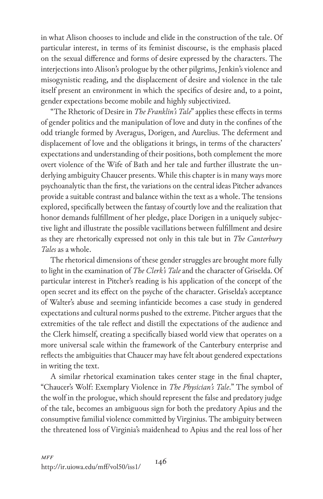in what Alison chooses to include and elide in the construction of the tale. Of particular interest, in terms of its feminist discourse, is the emphasis placed on the sexual difference and forms of desire expressed by the characters. The interjections into Alison's prologue by the other pilgrims, Jenkin's violence and misogynistic reading, and the displacement of desire and violence in the tale itself present an environment in which the specifics of desire and, to a point, gender expectations become mobile and highly subjectivized.

"The Rhetoric of Desire in *The Franklin's Tale*" applies these effects in terms of gender politics and the manipulation of love and duty in the confines of the odd triangle formed by Averagus, Dorigen, and Aurelius. The deferment and displacement of love and the obligations it brings, in terms of the characters' expectations and understanding of their positions, both complement the more overt violence of the Wife of Bath and her tale and further illustrate the underlying ambiguity Chaucer presents. While this chapter is in many ways more psychoanalytic than the first, the variations on the central ideas Pitcher advances provide a suitable contrast and balance within the text as a whole. The tensions explored, specifically between the fantasy of courtly love and the realization that honor demands fulfillment of her pledge, place Dorigen in a uniquely subjective light and illustrate the possible vacillations between fulfillment and desire as they are rhetorically expressed not only in this tale but in *The Canterbury Tales* as a whole.

The rhetorical dimensions of these gender struggles are brought more fully to light in the examination of *The Clerk's Tale* and the character of Griselda. Of particular interest in Pitcher's reading is his application of the concept of the open secret and its effect on the psyche of the character. Griselda's acceptance of Walter's abuse and seeming infanticide becomes a case study in gendered expectations and cultural norms pushed to the extreme. Pitcher argues that the extremities of the tale reflect and distill the expectations of the audience and the Clerk himself, creating a specifically biased world view that operates on a more universal scale within the framework of the Canterbury enterprise and reflects the ambiguities that Chaucer may have felt about gendered expectations in writing the text.

A similar rhetorical examination takes center stage in the final chapter, "Chaucer's Wolf: Exemplary Violence in *The Physician's Tale*." The symbol of the wolf in the prologue, which should represent the false and predatory judge of the tale, becomes an ambiguous sign for both the predatory Apius and the consumptive familial violence committed by Virginius. The ambiguity between the threatened loss of Virginia's maidenhead to Apius and the real loss of her